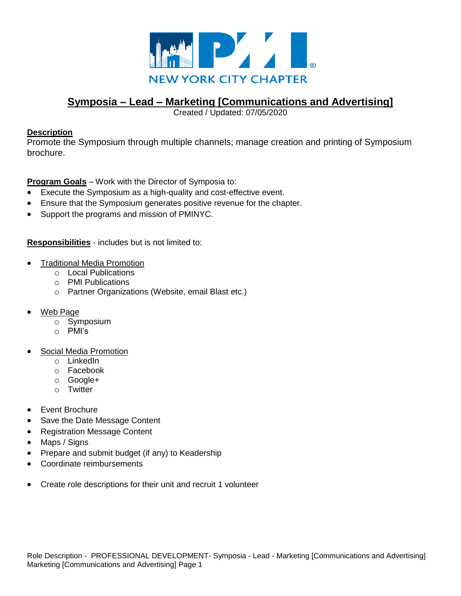

# **Symposia – Lead – Marketing [Communications and Advertising]**

Created / Updated: 07/05/2020

## **Description**

Promote the Symposium through multiple channels; manage creation and printing of Symposium brochure.

**Program Goals** – Work with the Director of Symposia to:

- Execute the Symposium as a high-quality and cost-effective event.
- Ensure that the Symposium generates positive revenue for the chapter.
- Support the programs and mission of PMINYC.

**Responsibilities** - includes but is not limited to:

- Traditional Media Promotion
	- o Local Publications
	- o PMI Publications
	- o Partner Organizations (Website, email Blast etc.)
- Web Page
	- o Symposium
	- o PMI's
- Social Media Promotion
	- o LinkedIn
	- o Facebook
	- o Google+
	- o Twitter
- Event Brochure
- Save the Date Message Content
- Registration Message Content
- Maps / Signs
- Prepare and submit budget (if any) to Keadership
- Coordinate reimbursements
- Create role descriptions for their unit and recruit 1 volunteer